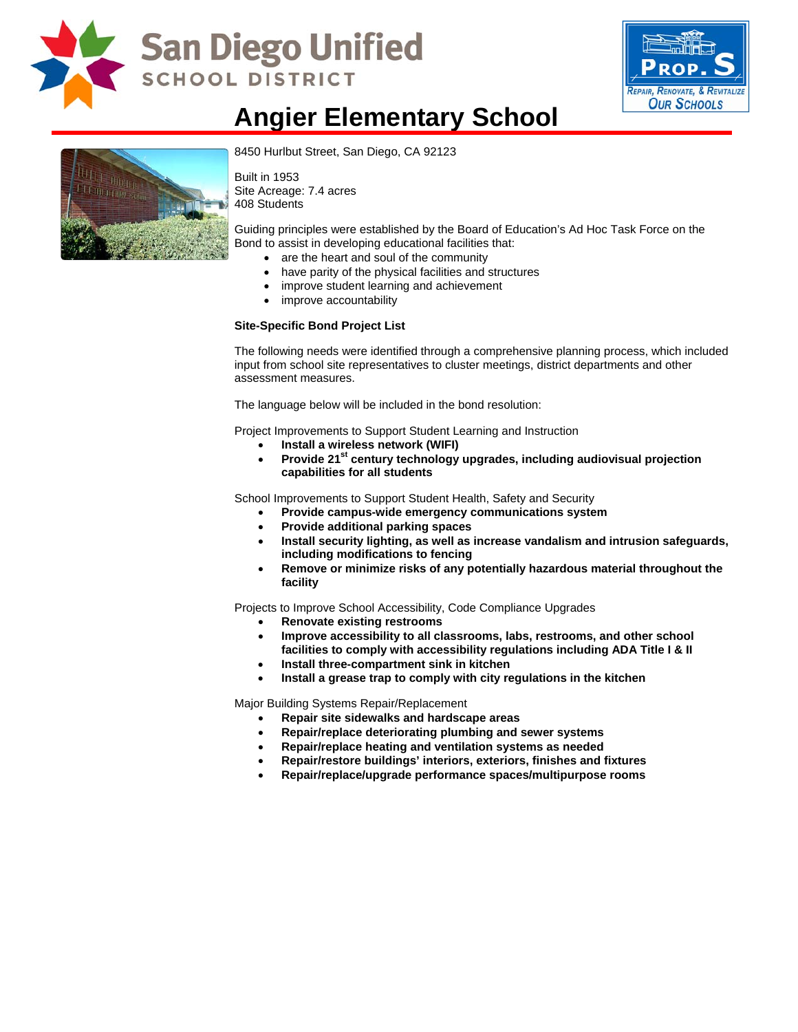

# San Diego Unified **SCHOOL DISTRICT**



### **Angier Elementary School**



8450 Hurlbut Street, San Diego, CA 92123

Built in 1953 Site Acreage: 7.4 acres 408 Students

Guiding principles were established by the Board of Education's Ad Hoc Task Force on the Bond to assist in developing educational facilities that:

- are the heart and soul of the community
- have parity of the physical facilities and structures
- improve student learning and achievement
- improve accountability

#### **Site-Specific Bond Project List**

The following needs were identified through a comprehensive planning process, which included input from school site representatives to cluster meetings, district departments and other assessment measures.

The language below will be included in the bond resolution:

Project Improvements to Support Student Learning and Instruction

- **Install a wireless network (WIFI)**
- Provide 21<sup>st</sup> century technology upgrades, including audiovisual projection **capabilities for all students**

School Improvements to Support Student Health, Safety and Security

- **Provide campus-wide emergency communications system**
- **Provide additional parking spaces**
- **Install security lighting, as well as increase vandalism and intrusion safeguards, including modifications to fencing**
- **Remove or minimize risks of any potentially hazardous material throughout the facility**

Projects to Improve School Accessibility, Code Compliance Upgrades

- **Renovate existing restrooms**
- **Improve accessibility to all classrooms, labs, restrooms, and other school facilities to comply with accessibility regulations including ADA Title I & II**
- **Install three-compartment sink in kitchen**
- **Install a grease trap to comply with city regulations in the kitchen**

Major Building Systems Repair/Replacement

- **Repair site sidewalks and hardscape areas**
- **Repair/replace deteriorating plumbing and sewer systems**
- **Repair/replace heating and ventilation systems as needed**
- **Repair/restore buildings' interiors, exteriors, finishes and fixtures**
- **Repair/replace/upgrade performance spaces/multipurpose rooms**